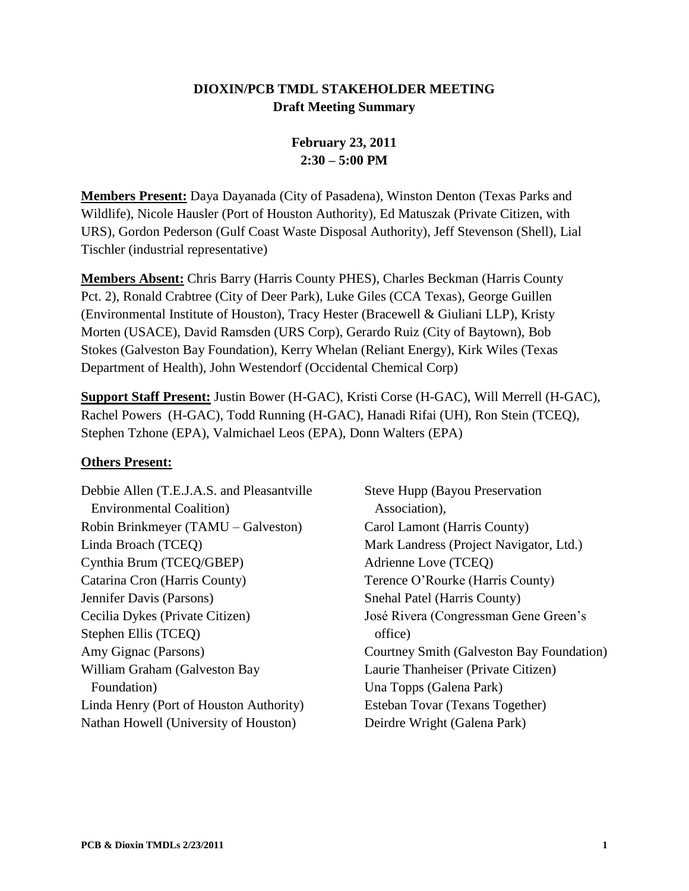### **DIOXIN/PCB TMDL STAKEHOLDER MEETING Draft Meeting Summary**

# **February 23, 2011 2:30 – 5:00 PM**

**Members Present:** Daya Dayanada (City of Pasadena), Winston Denton (Texas Parks and Wildlife), Nicole Hausler (Port of Houston Authority), Ed Matuszak (Private Citizen, with URS), Gordon Pederson (Gulf Coast Waste Disposal Authority), Jeff Stevenson (Shell), Lial Tischler (industrial representative)

**Members Absent:** Chris Barry (Harris County PHES), Charles Beckman (Harris County Pct. 2), Ronald Crabtree (City of Deer Park), Luke Giles (CCA Texas), George Guillen (Environmental Institute of Houston), Tracy Hester (Bracewell & Giuliani LLP), Kristy Morten (USACE), David Ramsden (URS Corp), Gerardo Ruiz (City of Baytown), Bob Stokes (Galveston Bay Foundation), Kerry Whelan (Reliant Energy), Kirk Wiles (Texas Department of Health), John Westendorf (Occidental Chemical Corp)

**Support Staff Present:** Justin Bower (H-GAC), Kristi Corse (H-GAC), Will Merrell (H-GAC), Rachel Powers (H-GAC), Todd Running (H-GAC), Hanadi Rifai (UH), Ron Stein (TCEQ), Stephen Tzhone (EPA), Valmichael Leos (EPA), Donn Walters (EPA)

#### **Others Present:**

Debbie Allen (T.E.J.A.S. and Pleasantville Environmental Coalition) Robin Brinkmeyer (TAMU – Galveston) Linda Broach (TCEQ) Cynthia Brum (TCEQ/GBEP) Catarina Cron (Harris County) Jennifer Davis (Parsons) Cecilia Dykes (Private Citizen) Stephen Ellis (TCEQ) Amy Gignac (Parsons) William Graham (Galveston Bay Foundation) Linda Henry (Port of Houston Authority) Nathan Howell (University of Houston)

Steve Hupp (Bayou Preservation Association), Carol Lamont (Harris County) Mark Landress (Project Navigator, Ltd.) Adrienne Love (TCEQ) Terence O'Rourke (Harris County) Snehal Patel (Harris County) José Rivera (Congressman Gene Green's office) Courtney Smith (Galveston Bay Foundation) Laurie Thanheiser (Private Citizen) Una Topps (Galena Park) Esteban Tovar (Texans Together) Deirdre Wright (Galena Park)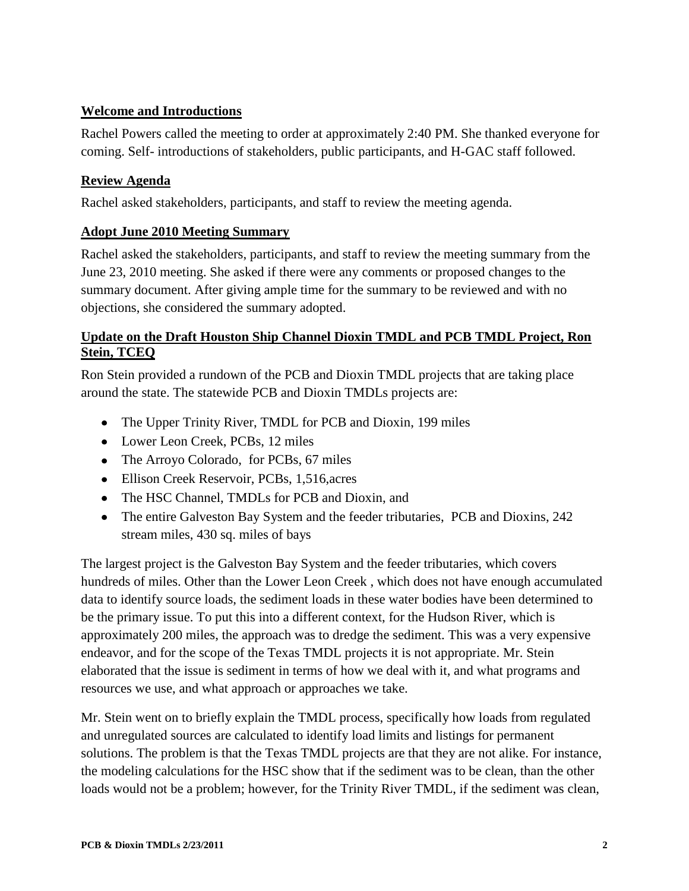## **Welcome and Introductions**

Rachel Powers called the meeting to order at approximately 2:40 PM. She thanked everyone for coming. Self- introductions of stakeholders, public participants, and H-GAC staff followed.

## **Review Agenda**

Rachel asked stakeholders, participants, and staff to review the meeting agenda.

## **Adopt June 2010 Meeting Summary**

Rachel asked the stakeholders, participants, and staff to review the meeting summary from the June 23, 2010 meeting. She asked if there were any comments or proposed changes to the summary document. After giving ample time for the summary to be reviewed and with no objections, she considered the summary adopted.

### **Update on the Draft Houston Ship Channel Dioxin TMDL and PCB TMDL Project, Ron Stein, TCEQ**

Ron Stein provided a rundown of the PCB and Dioxin TMDL projects that are taking place around the state. The statewide PCB and Dioxin TMDLs projects are:

- The Upper Trinity River, TMDL for PCB and Dioxin, 199 miles
- Lower Leon Creek, PCBs, 12 miles
- The Arroyo Colorado, for PCBs, 67 miles
- Ellison Creek Reservoir, PCBs, 1,516,acres
- The HSC Channel, TMDLs for PCB and Dioxin, and
- The entire Galveston Bay System and the feeder tributaries, PCB and Dioxins, 242 stream miles, 430 sq. miles of bays

The largest project is the Galveston Bay System and the feeder tributaries, which covers hundreds of miles. Other than the Lower Leon Creek , which does not have enough accumulated data to identify source loads, the sediment loads in these water bodies have been determined to be the primary issue. To put this into a different context, for the Hudson River, which is approximately 200 miles, the approach was to dredge the sediment. This was a very expensive endeavor, and for the scope of the Texas TMDL projects it is not appropriate. Mr. Stein elaborated that the issue is sediment in terms of how we deal with it, and what programs and resources we use, and what approach or approaches we take.

Mr. Stein went on to briefly explain the TMDL process, specifically how loads from regulated and unregulated sources are calculated to identify load limits and listings for permanent solutions. The problem is that the Texas TMDL projects are that they are not alike. For instance, the modeling calculations for the HSC show that if the sediment was to be clean, than the other loads would not be a problem; however, for the Trinity River TMDL, if the sediment was clean,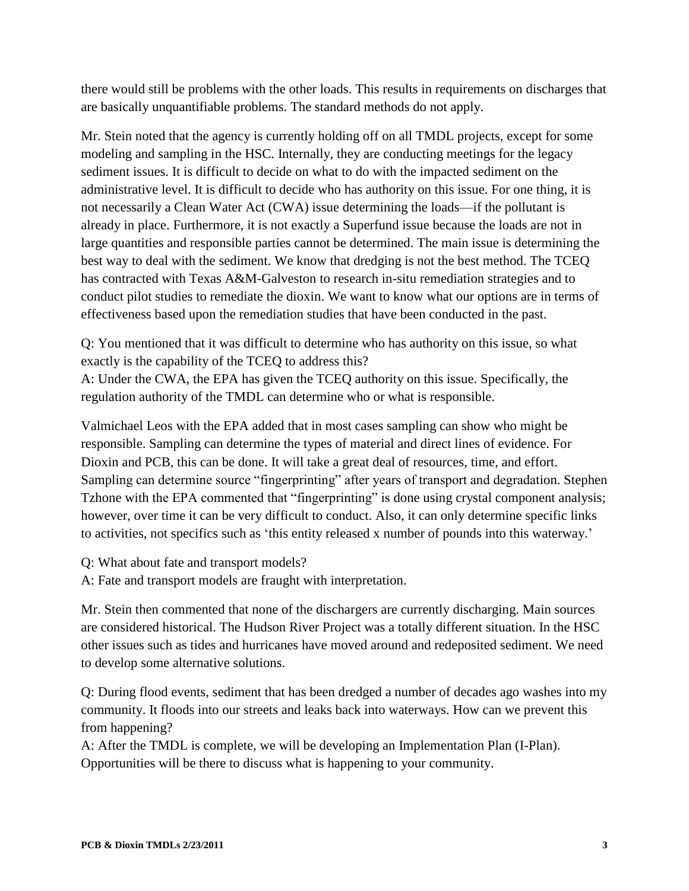there would still be problems with the other loads. This results in requirements on discharges that are basically unquantifiable problems. The standard methods do not apply.

Mr. Stein noted that the agency is currently holding off on all TMDL projects, except for some modeling and sampling in the HSC. Internally, they are conducting meetings for the legacy sediment issues. It is difficult to decide on what to do with the impacted sediment on the administrative level. It is difficult to decide who has authority on this issue. For one thing, it is not necessarily a Clean Water Act (CWA) issue determining the loads—if the pollutant is already in place. Furthermore, it is not exactly a Superfund issue because the loads are not in large quantities and responsible parties cannot be determined. The main issue is determining the best way to deal with the sediment. We know that dredging is not the best method. The TCEQ has contracted with Texas A&M-Galveston to research in-situ remediation strategies and to conduct pilot studies to remediate the dioxin. We want to know what our options are in terms of effectiveness based upon the remediation studies that have been conducted in the past.

Q: You mentioned that it was difficult to determine who has authority on this issue, so what exactly is the capability of the TCEQ to address this?

A: Under the CWA, the EPA has given the TCEQ authority on this issue. Specifically, the regulation authority of the TMDL can determine who or what is responsible.

Valmichael Leos with the EPA added that in most cases sampling can show who might be responsible. Sampling can determine the types of material and direct lines of evidence. For Dioxin and PCB, this can be done. It will take a great deal of resources, time, and effort. Sampling can determine source "fingerprinting" after years of transport and degradation. Stephen Tzhone with the EPA commented that "fingerprinting" is done using crystal component analysis; however, over time it can be very difficult to conduct. Also, it can only determine specific links to activities, not specifics such as 'this entity released x number of pounds into this waterway.'

- Q: What about fate and transport models?
- A: Fate and transport models are fraught with interpretation.

Mr. Stein then commented that none of the dischargers are currently discharging. Main sources are considered historical. The Hudson River Project was a totally different situation. In the HSC other issues such as tides and hurricanes have moved around and redeposited sediment. We need to develop some alternative solutions.

Q: During flood events, sediment that has been dredged a number of decades ago washes into my community. It floods into our streets and leaks back into waterways. How can we prevent this from happening?

A: After the TMDL is complete, we will be developing an Implementation Plan (I-Plan). Opportunities will be there to discuss what is happening to your community.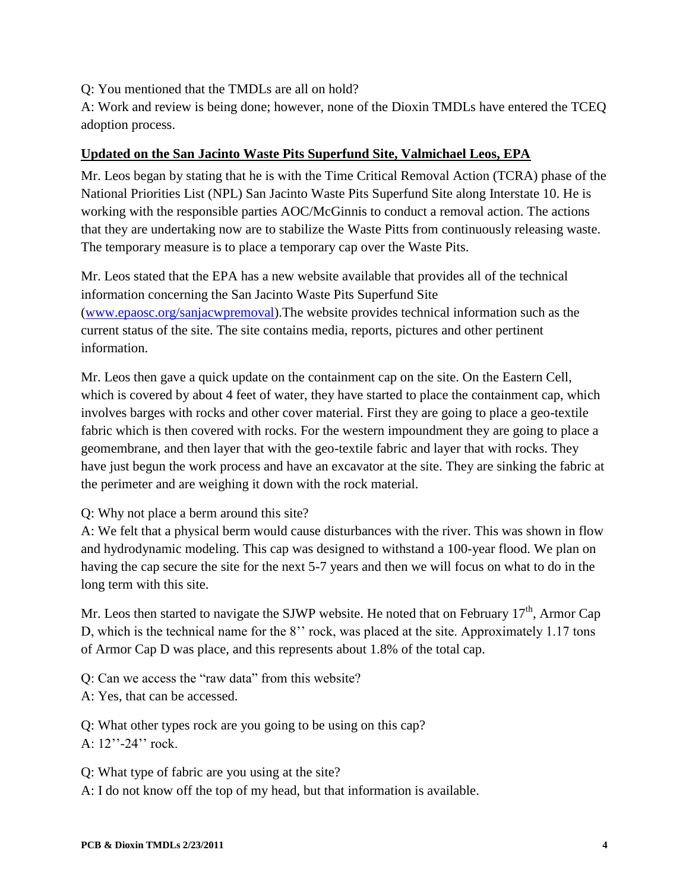Q: You mentioned that the TMDLs are all on hold?

A: Work and review is being done; however, none of the Dioxin TMDLs have entered the TCEQ adoption process.

#### **Updated on the San Jacinto Waste Pits Superfund Site, Valmichael Leos, EPA**

Mr. Leos began by stating that he is with the Time Critical Removal Action (TCRA) phase of the National Priorities List (NPL) San Jacinto Waste Pits Superfund Site along Interstate 10. He is working with the responsible parties AOC/McGinnis to conduct a removal action. The actions that they are undertaking now are to stabilize the Waste Pitts from continuously releasing waste. The temporary measure is to place a temporary cap over the Waste Pits.

Mr. Leos stated that the EPA has a new website available that provides all of the technical information concerning the San Jacinto Waste Pits Superfund Site [\(www.epaosc.org/sanjacwpremoval\)](http://www.epaosc.org/sanjacwpremoval).The website provides technical information such as the current status of the site. The site contains media, reports, pictures and other pertinent information.

Mr. Leos then gave a quick update on the containment cap on the site. On the Eastern Cell, which is covered by about 4 feet of water, they have started to place the containment cap, which involves barges with rocks and other cover material. First they are going to place a geo-textile fabric which is then covered with rocks. For the western impoundment they are going to place a geomembrane, and then layer that with the geo-textile fabric and layer that with rocks. They have just begun the work process and have an excavator at the site. They are sinking the fabric at the perimeter and are weighing it down with the rock material.

#### Q: Why not place a berm around this site?

A: We felt that a physical berm would cause disturbances with the river. This was shown in flow and hydrodynamic modeling. This cap was designed to withstand a 100-year flood. We plan on having the cap secure the site for the next 5-7 years and then we will focus on what to do in the long term with this site.

Mr. Leos then started to navigate the SJWP website. He noted that on February  $17<sup>th</sup>$ , Armor Cap D, which is the technical name for the 8'' rock, was placed at the site. Approximately 1.17 tons of Armor Cap D was place, and this represents about 1.8% of the total cap.

Q: Can we access the "raw data" from this website?

A: Yes, that can be accessed.

Q: What other types rock are you going to be using on this cap? A: 12"-24" rock.

Q: What type of fabric are you using at the site? A: I do not know off the top of my head, but that information is available.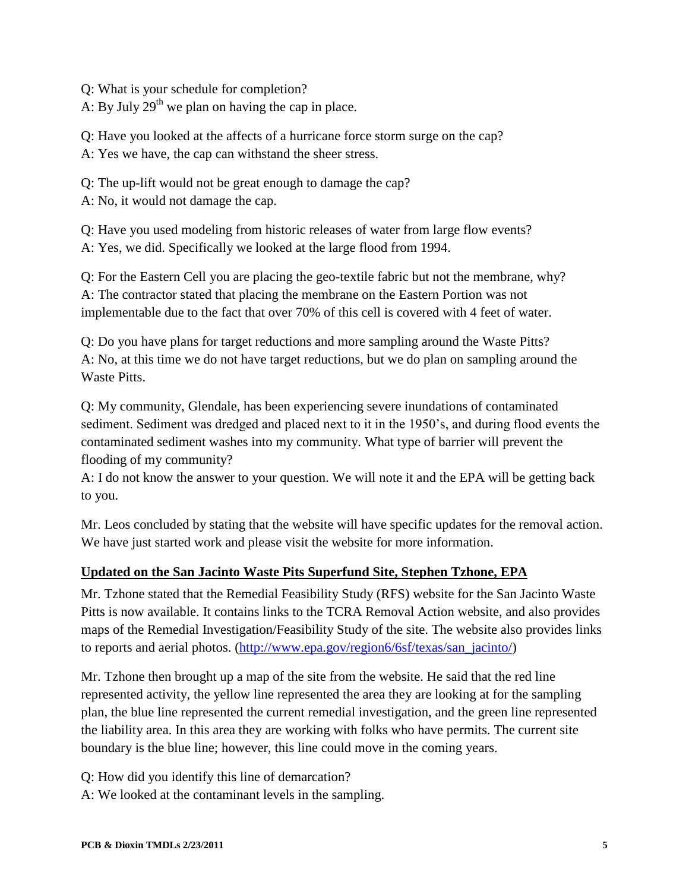Q: What is your schedule for completion?

A: By July  $29<sup>th</sup>$  we plan on having the cap in place.

Q: Have you looked at the affects of a hurricane force storm surge on the cap?

A: Yes we have, the cap can withstand the sheer stress.

Q: The up-lift would not be great enough to damage the cap?

A: No, it would not damage the cap.

Q: Have you used modeling from historic releases of water from large flow events? A: Yes, we did. Specifically we looked at the large flood from 1994.

Q: For the Eastern Cell you are placing the geo-textile fabric but not the membrane, why? A: The contractor stated that placing the membrane on the Eastern Portion was not implementable due to the fact that over 70% of this cell is covered with 4 feet of water.

Q: Do you have plans for target reductions and more sampling around the Waste Pitts? A: No, at this time we do not have target reductions, but we do plan on sampling around the Waste Pitts.

Q: My community, Glendale, has been experiencing severe inundations of contaminated sediment. Sediment was dredged and placed next to it in the 1950's, and during flood events the contaminated sediment washes into my community. What type of barrier will prevent the flooding of my community?

A: I do not know the answer to your question. We will note it and the EPA will be getting back to you.

Mr. Leos concluded by stating that the website will have specific updates for the removal action. We have just started work and please visit the website for more information.

# **Updated on the San Jacinto Waste Pits Superfund Site, Stephen Tzhone, EPA**

Mr. Tzhone stated that the Remedial Feasibility Study (RFS) website for the San Jacinto Waste Pitts is now available. It contains links to the TCRA Removal Action website, and also provides maps of the Remedial Investigation/Feasibility Study of the site. The website also provides links to reports and aerial photos. [\(http://www.epa.gov/region6/6sf/texas/san\\_jacinto/\)](http://www.epa.gov/region6/6sf/texas/san_jacinto/)

Mr. Tzhone then brought up a map of the site from the website. He said that the red line represented activity, the yellow line represented the area they are looking at for the sampling plan, the blue line represented the current remedial investigation, and the green line represented the liability area. In this area they are working with folks who have permits. The current site boundary is the blue line; however, this line could move in the coming years.

Q: How did you identify this line of demarcation?

A: We looked at the contaminant levels in the sampling.